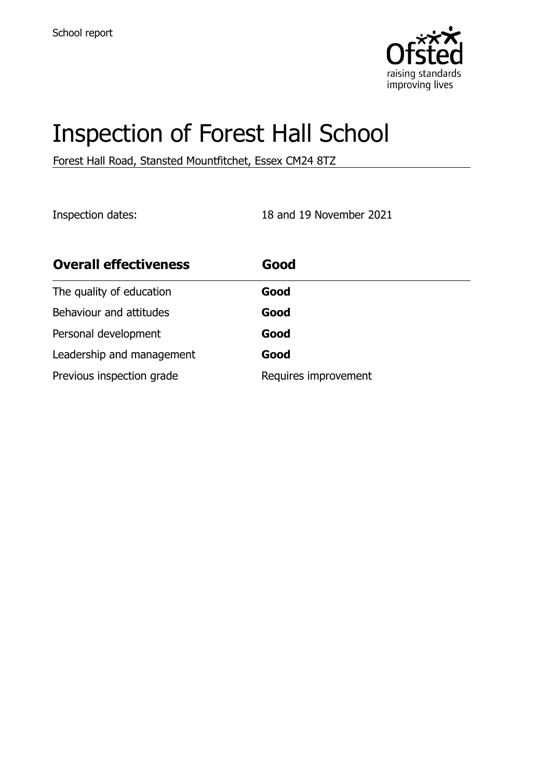

# Inspection of Forest Hall School

Forest Hall Road, Stansted Mountfitchet, Essex CM24 8TZ

Inspection dates: 18 and 19 November 2021

| <b>Overall effectiveness</b> | Good                 |
|------------------------------|----------------------|
| The quality of education     | Good                 |
| Behaviour and attitudes      | Good                 |
| Personal development         | Good                 |
| Leadership and management    | Good                 |
| Previous inspection grade    | Requires improvement |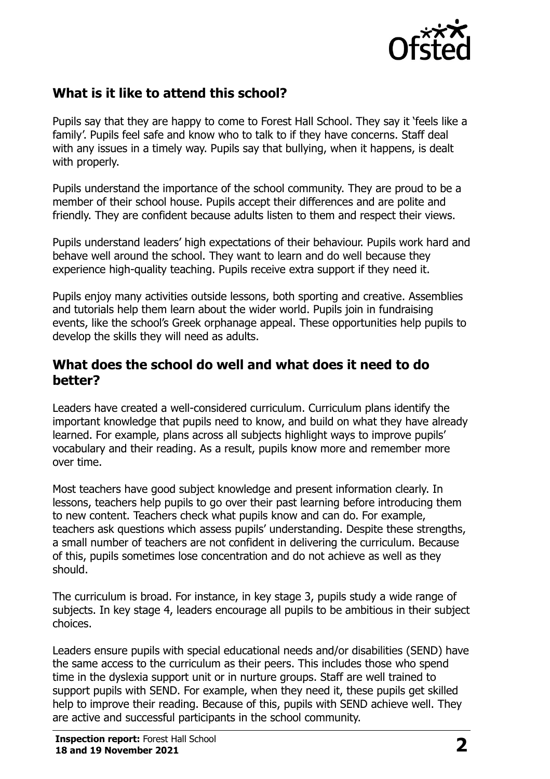

# **What is it like to attend this school?**

Pupils say that they are happy to come to Forest Hall School. They say it 'feels like a family'. Pupils feel safe and know who to talk to if they have concerns. Staff deal with any issues in a timely way. Pupils say that bullying, when it happens, is dealt with properly.

Pupils understand the importance of the school community. They are proud to be a member of their school house. Pupils accept their differences and are polite and friendly. They are confident because adults listen to them and respect their views.

Pupils understand leaders' high expectations of their behaviour. Pupils work hard and behave well around the school. They want to learn and do well because they experience high-quality teaching. Pupils receive extra support if they need it.

Pupils enjoy many activities outside lessons, both sporting and creative. Assemblies and tutorials help them learn about the wider world. Pupils join in fundraising events, like the school's Greek orphanage appeal. These opportunities help pupils to develop the skills they will need as adults.

#### **What does the school do well and what does it need to do better?**

Leaders have created a well-considered curriculum. Curriculum plans identify the important knowledge that pupils need to know, and build on what they have already learned. For example, plans across all subjects highlight ways to improve pupils' vocabulary and their reading. As a result, pupils know more and remember more over time.

Most teachers have good subject knowledge and present information clearly. In lessons, teachers help pupils to go over their past learning before introducing them to new content. Teachers check what pupils know and can do. For example, teachers ask questions which assess pupils' understanding. Despite these strengths, a small number of teachers are not confident in delivering the curriculum. Because of this, pupils sometimes lose concentration and do not achieve as well as they should.

The curriculum is broad. For instance, in key stage 3, pupils study a wide range of subjects. In key stage 4, leaders encourage all pupils to be ambitious in their subject choices.

Leaders ensure pupils with special educational needs and/or disabilities (SEND) have the same access to the curriculum as their peers. This includes those who spend time in the dyslexia support unit or in nurture groups. Staff are well trained to support pupils with SEND. For example, when they need it, these pupils get skilled help to improve their reading. Because of this, pupils with SEND achieve well. They are active and successful participants in the school community.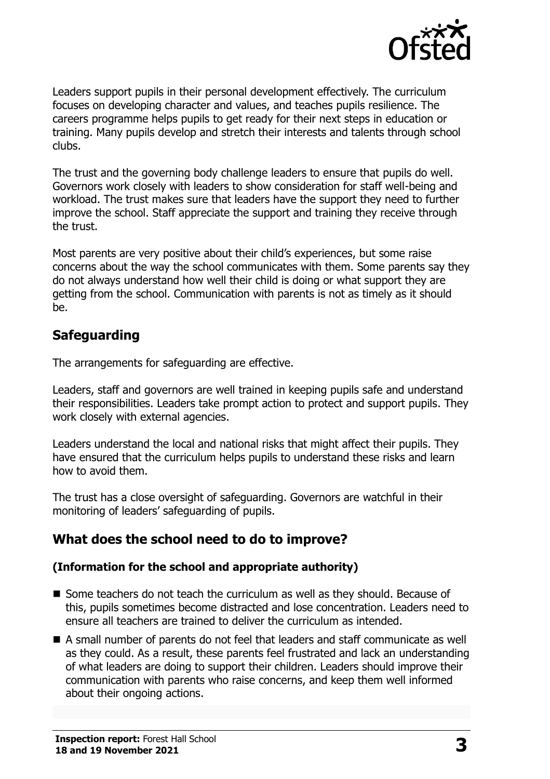

Leaders support pupils in their personal development effectively. The curriculum focuses on developing character and values, and teaches pupils resilience. The careers programme helps pupils to get ready for their next steps in education or training. Many pupils develop and stretch their interests and talents through school clubs.

The trust and the governing body challenge leaders to ensure that pupils do well. Governors work closely with leaders to show consideration for staff well-being and workload. The trust makes sure that leaders have the support they need to further improve the school. Staff appreciate the support and training they receive through the trust.

Most parents are very positive about their child's experiences, but some raise concerns about the way the school communicates with them. Some parents say they do not always understand how well their child is doing or what support they are getting from the school. Communication with parents is not as timely as it should be.

# **Safeguarding**

The arrangements for safeguarding are effective.

Leaders, staff and governors are well trained in keeping pupils safe and understand their responsibilities. Leaders take prompt action to protect and support pupils. They work closely with external agencies.

Leaders understand the local and national risks that might affect their pupils. They have ensured that the curriculum helps pupils to understand these risks and learn how to avoid them.

The trust has a close oversight of safeguarding. Governors are watchful in their monitoring of leaders' safeguarding of pupils.

# **What does the school need to do to improve?**

#### **(Information for the school and appropriate authority)**

- Some teachers do not teach the curriculum as well as they should. Because of this, pupils sometimes become distracted and lose concentration. Leaders need to ensure all teachers are trained to deliver the curriculum as intended.
- A small number of parents do not feel that leaders and staff communicate as well as they could. As a result, these parents feel frustrated and lack an understanding of what leaders are doing to support their children. Leaders should improve their communication with parents who raise concerns, and keep them well informed about their ongoing actions.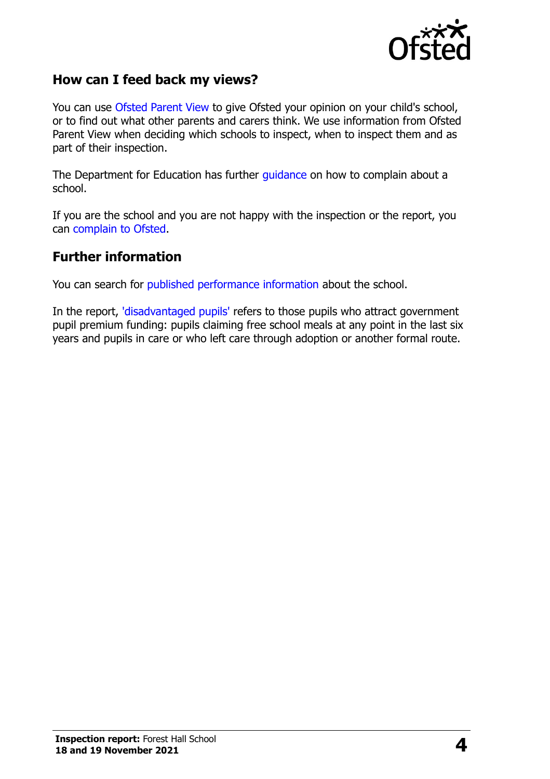

### **How can I feed back my views?**

You can use [Ofsted Parent View](http://parentview.ofsted.gov.uk/) to give Ofsted your opinion on your child's school, or to find out what other parents and carers think. We use information from Ofsted Parent View when deciding which schools to inspect, when to inspect them and as part of their inspection.

The Department for Education has further [guidance](http://www.gov.uk/complain-about-school) on how to complain about a school.

If you are the school and you are not happy with the inspection or the report, you can [complain to Ofsted.](http://www.gov.uk/complain-ofsted-report)

#### **Further information**

You can search for [published performance information](http://www.compare-school-performance.service.gov.uk/) about the school.

In the report, ['disadvantaged pupils'](http://www.gov.uk/guidance/pupil-premium-information-for-schools-and-alternative-provision-settings) refers to those pupils who attract government pupil premium funding: pupils claiming free school meals at any point in the last six years and pupils in care or who left care through adoption or another formal route.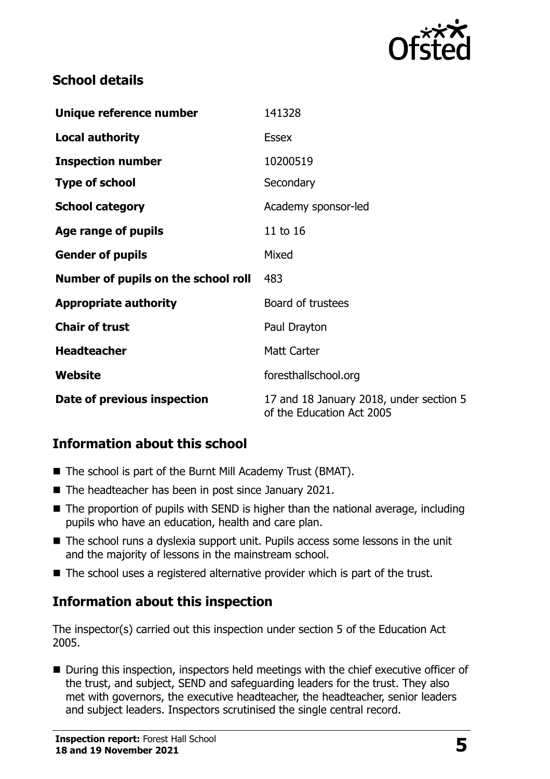

# **School details**

| Unique reference number             | 141328                                                               |  |
|-------------------------------------|----------------------------------------------------------------------|--|
| <b>Local authority</b>              | <b>Essex</b>                                                         |  |
| <b>Inspection number</b>            | 10200519                                                             |  |
| <b>Type of school</b>               | Secondary                                                            |  |
| <b>School category</b>              | Academy sponsor-led                                                  |  |
| Age range of pupils                 | 11 to 16                                                             |  |
| <b>Gender of pupils</b>             | Mixed                                                                |  |
| Number of pupils on the school roll | 483                                                                  |  |
| <b>Appropriate authority</b>        | Board of trustees                                                    |  |
| <b>Chair of trust</b>               | Paul Drayton                                                         |  |
| <b>Headteacher</b>                  | <b>Matt Carter</b>                                                   |  |
| Website                             | foresthallschool.org                                                 |  |
| Date of previous inspection         | 17 and 18 January 2018, under section 5<br>of the Education Act 2005 |  |

# **Information about this school**

- The school is part of the Burnt Mill Academy Trust (BMAT).
- The headteacher has been in post since January 2021.
- $\blacksquare$  The proportion of pupils with SEND is higher than the national average, including pupils who have an education, health and care plan.
- The school runs a dyslexia support unit. Pupils access some lessons in the unit and the majority of lessons in the mainstream school.
- The school uses a registered alternative provider which is part of the trust.

# **Information about this inspection**

The inspector(s) carried out this inspection under section 5 of the Education Act 2005.

■ During this inspection, inspectors held meetings with the chief executive officer of the trust, and subject, SEND and safeguarding leaders for the trust. They also met with governors, the executive headteacher, the headteacher, senior leaders and subject leaders. Inspectors scrutinised the single central record.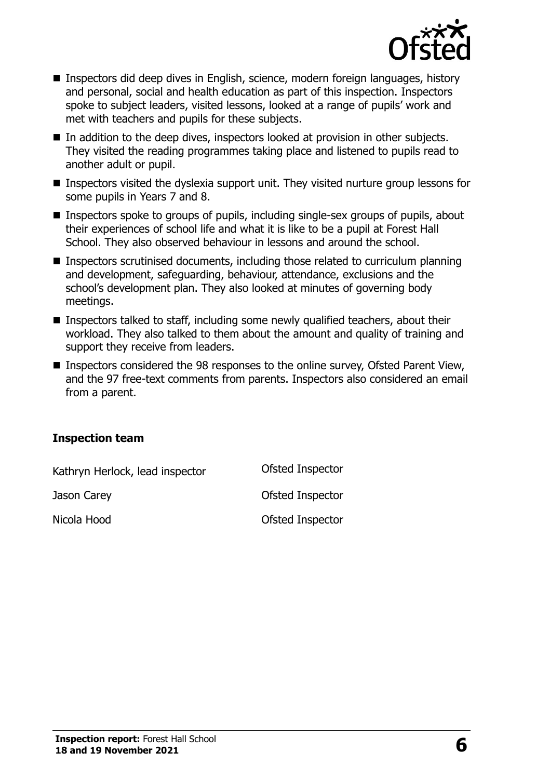

- Inspectors did deep dives in English, science, modern foreign languages, history and personal, social and health education as part of this inspection. Inspectors spoke to subject leaders, visited lessons, looked at a range of pupils' work and met with teachers and pupils for these subjects.
- In addition to the deep dives, inspectors looked at provision in other subjects. They visited the reading programmes taking place and listened to pupils read to another adult or pupil.
- **Inspectors visited the dyslexia support unit. They visited nurture group lessons for** some pupils in Years 7 and 8.
- Inspectors spoke to groups of pupils, including single-sex groups of pupils, about their experiences of school life and what it is like to be a pupil at Forest Hall School. They also observed behaviour in lessons and around the school.
- Inspectors scrutinised documents, including those related to curriculum planning and development, safeguarding, behaviour, attendance, exclusions and the school's development plan. They also looked at minutes of governing body meetings.
- Inspectors talked to staff, including some newly qualified teachers, about their workload. They also talked to them about the amount and quality of training and support they receive from leaders.
- Inspectors considered the 98 responses to the online survey, Ofsted Parent View, and the 97 free-text comments from parents. Inspectors also considered an email from a parent.

#### **Inspection team**

| Kathryn Herlock, lead inspector | Ofsted Inspector |
|---------------------------------|------------------|
| Jason Carey                     | Ofsted Inspector |
| Nicola Hood                     | Ofsted Inspector |